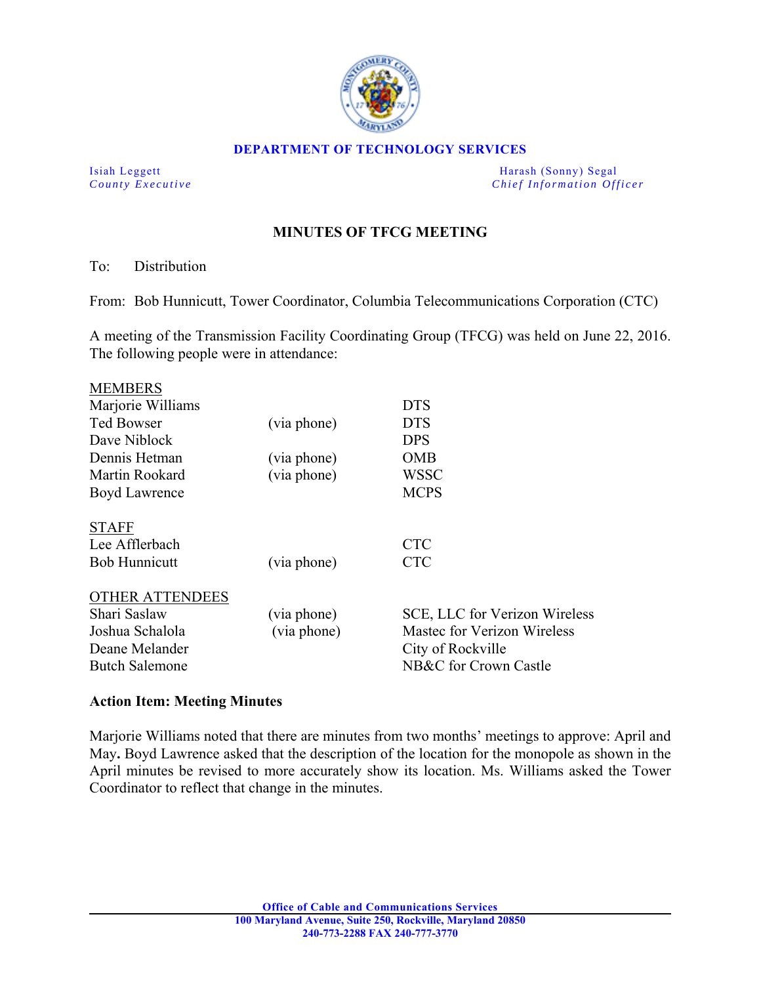

#### **DEPARTMENT OF TECHNOLOGY SERVICES**

Isiah Leggett Harash (Sonny) Segal *County Executive* **Countries and** *Chief Information Officer Chief Information Officer* 

# **MINUTES OF TFCG MEETING**

### To: Distribution

From: Bob Hunnicutt, Tower Coordinator, Columbia Telecommunications Corporation (CTC)

A meeting of the Transmission Facility Coordinating Group (TFCG) was held on June 22, 2016. The following people were in attendance:

| <b>MEMBERS</b>         |             |                               |
|------------------------|-------------|-------------------------------|
| Marjorie Williams      |             | <b>DTS</b>                    |
| <b>Ted Bowser</b>      | (via phone) | <b>DTS</b>                    |
| Dave Niblock           |             | <b>DPS</b>                    |
| Dennis Hetman          | (via phone) | <b>OMB</b>                    |
| Martin Rookard         | (via phone) | <b>WSSC</b>                   |
| Boyd Lawrence          |             | <b>MCPS</b>                   |
| <b>STAFF</b>           |             |                               |
| Lee Afflerbach         |             | <b>CTC</b>                    |
| <b>Bob Hunnicutt</b>   | (via phone) | <b>CTC</b>                    |
| <b>OTHER ATTENDEES</b> |             |                               |
| Shari Saslaw           | (via phone) | SCE, LLC for Verizon Wireless |
| Joshua Schalola        | (via phone) | Mastec for Verizon Wireless   |
| Deane Melander         |             | City of Rockville             |
| <b>Butch Salemone</b>  |             | NB&C for Crown Castle         |
|                        |             |                               |

### **Action Item: Meeting Minutes**

Marjorie Williams noted that there are minutes from two months' meetings to approve: April and May**.** Boyd Lawrence asked that the description of the location for the monopole as shown in the April minutes be revised to more accurately show its location. Ms. Williams asked the Tower Coordinator to reflect that change in the minutes.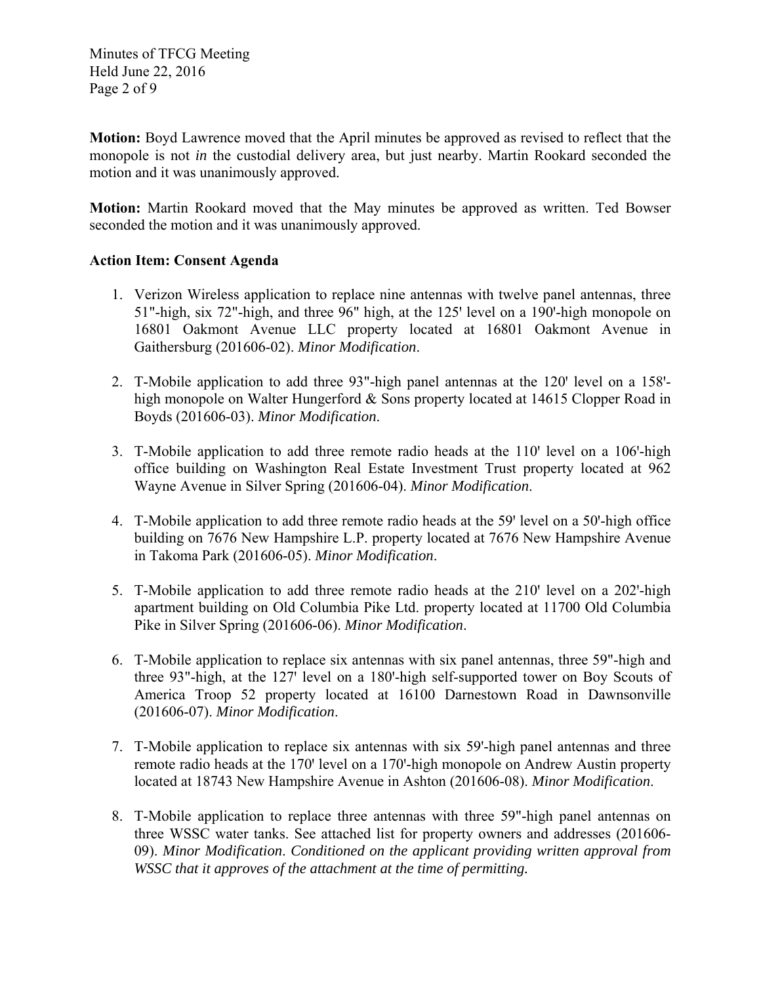Minutes of TFCG Meeting Held June 22, 2016 Page 2 of 9

**Motion:** Boyd Lawrence moved that the April minutes be approved as revised to reflect that the monopole is not *in* the custodial delivery area, but just nearby. Martin Rookard seconded the motion and it was unanimously approved.

**Motion:** Martin Rookard moved that the May minutes be approved as written. Ted Bowser seconded the motion and it was unanimously approved.

## **Action Item: Consent Agenda**

- 1. Verizon Wireless application to replace nine antennas with twelve panel antennas, three 51"-high, six 72"-high, and three 96" high, at the 125' level on a 190'-high monopole on 16801 Oakmont Avenue LLC property located at 16801 Oakmont Avenue in Gaithersburg (201606-02). *Minor Modification*.
- 2. T-Mobile application to add three 93"-high panel antennas at the 120' level on a 158'high monopole on Walter Hungerford & Sons property located at 14615 Clopper Road in Boyds (201606-03). *Minor Modification*.
- 3. T-Mobile application to add three remote radio heads at the 110' level on a 106'-high office building on Washington Real Estate Investment Trust property located at 962 Wayne Avenue in Silver Spring (201606-04). *Minor Modification*.
- 4. T-Mobile application to add three remote radio heads at the 59' level on a 50'-high office building on 7676 New Hampshire L.P. property located at 7676 New Hampshire Avenue in Takoma Park (201606-05). *Minor Modification*.
- 5. T-Mobile application to add three remote radio heads at the 210' level on a 202'-high apartment building on Old Columbia Pike Ltd. property located at 11700 Old Columbia Pike in Silver Spring (201606-06). *Minor Modification*.
- 6. T-Mobile application to replace six antennas with six panel antennas, three 59"-high and three 93"-high, at the  $127'$  level on a 180'-high self-supported tower on Boy Scouts of America Troop 52 property located at 16100 Darnestown Road in Dawnsonville (201606-07). *Minor Modification*.
- 7. T-Mobile application to replace six antennas with six 59'-high panel antennas and three remote radio heads at the 170' level on a 170'-high monopole on Andrew Austin property located at 18743 New Hampshire Avenue in Ashton (201606-08). *Minor Modification*.
- 8. T-Mobile application to replace three antennas with three 59"-high panel antennas on three WSSC water tanks. See attached list for property owners and addresses (201606- 09). *Minor Modification*. *Conditioned on the applicant providing written approval from WSSC that it approves of the attachment at the time of permitting.*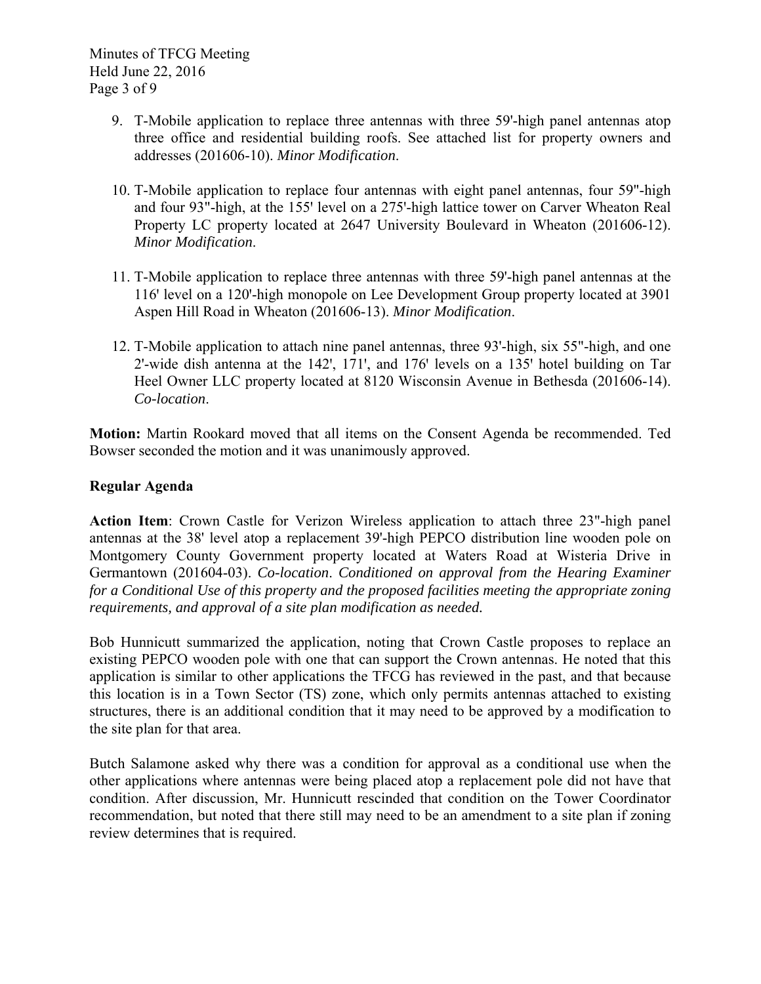Minutes of TFCG Meeting Held June 22, 2016 Page 3 of 9

- 9. T-Mobile application to replace three antennas with three 59'-high panel antennas atop three office and residential building roofs. See attached list for property owners and addresses (201606-10). *Minor Modification*.
- 10. T-Mobile application to replace four antennas with eight panel antennas, four 59"-high and four 93"-high, at the 155' level on a 275'-high lattice tower on Carver Wheaton Real Property LC property located at 2647 University Boulevard in Wheaton (201606-12). *Minor Modification*.
- 11. T-Mobile application to replace three antennas with three 59'-high panel antennas at the 116' level on a 120'-high monopole on Lee Development Group property located at 3901 Aspen Hill Road in Wheaton (201606-13). *Minor Modification*.
- 12. T-Mobile application to attach nine panel antennas, three 93'-high, six 55"-high, and one 2'-wide dish antenna at the  $142'$ ,  $171'$ , and  $176'$  levels on a  $135'$  hotel building on Tar Heel Owner LLC property located at 8120 Wisconsin Avenue in Bethesda (201606-14). *Co-location*.

**Motion:** Martin Rookard moved that all items on the Consent Agenda be recommended. Ted Bowser seconded the motion and it was unanimously approved.

## **Regular Agenda**

**Action Item**: Crown Castle for Verizon Wireless application to attach three 23"-high panel antennas at the 38' level atop a replacement 39'-high PEPCO distribution line wooden pole on Montgomery County Government property located at Waters Road at Wisteria Drive in Germantown (201604-03). *Co-location*. *Conditioned on approval from the Hearing Examiner for a Conditional Use of this property and the proposed facilities meeting the appropriate zoning requirements, and approval of a site plan modification as needed.* 

Bob Hunnicutt summarized the application, noting that Crown Castle proposes to replace an existing PEPCO wooden pole with one that can support the Crown antennas. He noted that this application is similar to other applications the TFCG has reviewed in the past, and that because this location is in a Town Sector (TS) zone, which only permits antennas attached to existing structures, there is an additional condition that it may need to be approved by a modification to the site plan for that area.

Butch Salamone asked why there was a condition for approval as a conditional use when the other applications where antennas were being placed atop a replacement pole did not have that condition. After discussion, Mr. Hunnicutt rescinded that condition on the Tower Coordinator recommendation, but noted that there still may need to be an amendment to a site plan if zoning review determines that is required.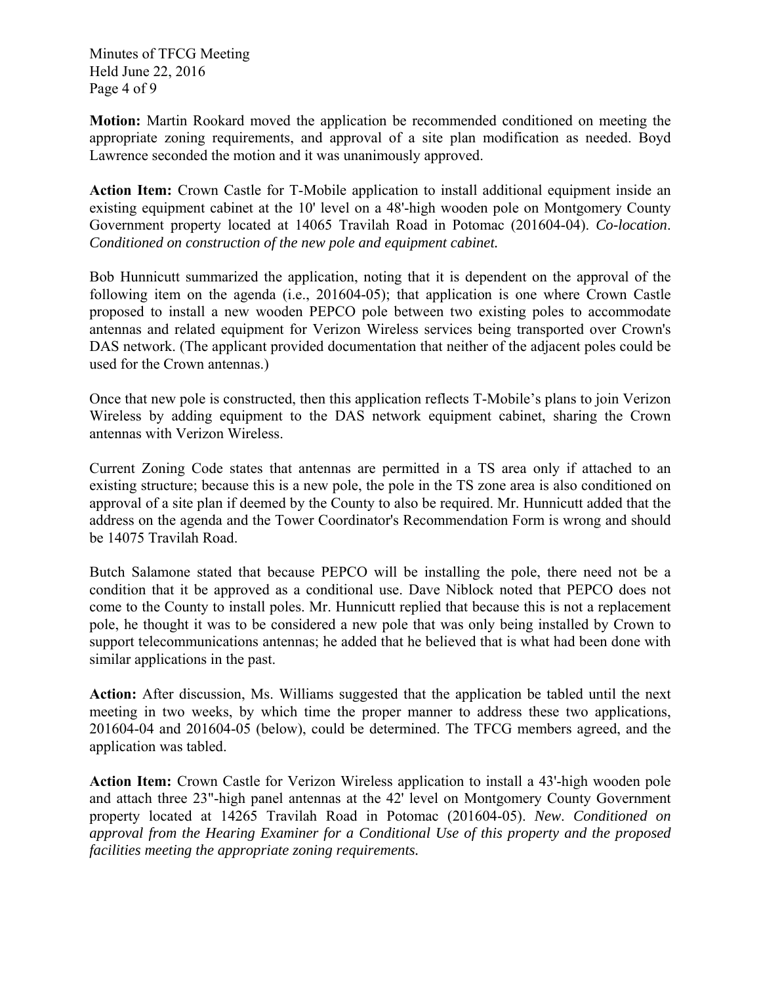Minutes of TFCG Meeting Held June 22, 2016 Page 4 of 9

**Motion:** Martin Rookard moved the application be recommended conditioned on meeting the appropriate zoning requirements, and approval of a site plan modification as needed. Boyd Lawrence seconded the motion and it was unanimously approved.

**Action Item:** Crown Castle for T-Mobile application to install additional equipment inside an existing equipment cabinet at the 10' level on a 48'-high wooden pole on Montgomery County Government property located at 14065 Travilah Road in Potomac (201604-04). *Co-location*. *Conditioned on construction of the new pole and equipment cabinet.*

Bob Hunnicutt summarized the application, noting that it is dependent on the approval of the following item on the agenda (i.e., 201604-05); that application is one where Crown Castle proposed to install a new wooden PEPCO pole between two existing poles to accommodate antennas and related equipment for Verizon Wireless services being transported over Crown's DAS network. (The applicant provided documentation that neither of the adjacent poles could be used for the Crown antennas.)

Once that new pole is constructed, then this application reflects T-Mobile's plans to join Verizon Wireless by adding equipment to the DAS network equipment cabinet, sharing the Crown antennas with Verizon Wireless.

Current Zoning Code states that antennas are permitted in a TS area only if attached to an existing structure; because this is a new pole, the pole in the TS zone area is also conditioned on approval of a site plan if deemed by the County to also be required. Mr. Hunnicutt added that the address on the agenda and the Tower Coordinator's Recommendation Form is wrong and should be 14075 Travilah Road.

Butch Salamone stated that because PEPCO will be installing the pole, there need not be a condition that it be approved as a conditional use. Dave Niblock noted that PEPCO does not come to the County to install poles. Mr. Hunnicutt replied that because this is not a replacement pole, he thought it was to be considered a new pole that was only being installed by Crown to support telecommunications antennas; he added that he believed that is what had been done with similar applications in the past.

**Action:** After discussion, Ms. Williams suggested that the application be tabled until the next meeting in two weeks, by which time the proper manner to address these two applications, 201604-04 and 201604-05 (below), could be determined. The TFCG members agreed, and the application was tabled.

**Action Item:** Crown Castle for Verizon Wireless application to install a 43'-high wooden pole and attach three 23"-high panel antennas at the 42' level on Montgomery County Government property located at 14265 Travilah Road in Potomac (201604-05). *New*. *Conditioned on approval from the Hearing Examiner for a Conditional Use of this property and the proposed facilities meeting the appropriate zoning requirements.*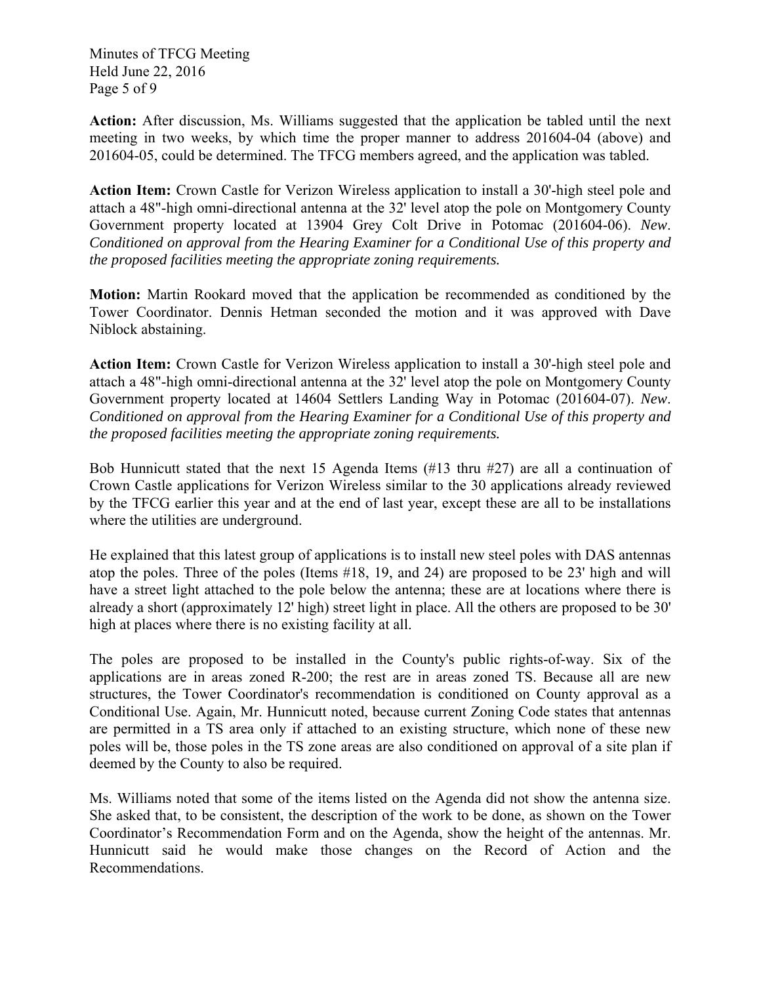Minutes of TFCG Meeting Held June 22, 2016 Page 5 of 9

**Action:** After discussion, Ms. Williams suggested that the application be tabled until the next meeting in two weeks, by which time the proper manner to address 201604-04 (above) and 201604-05, could be determined. The TFCG members agreed, and the application was tabled.

**Action Item:** Crown Castle for Verizon Wireless application to install a 30'-high steel pole and attach a 48"-high omni-directional antenna at the 32' level atop the pole on Montgomery County Government property located at 13904 Grey Colt Drive in Potomac (201604-06). *New*. *Conditioned on approval from the Hearing Examiner for a Conditional Use of this property and the proposed facilities meeting the appropriate zoning requirements.* 

**Motion:** Martin Rookard moved that the application be recommended as conditioned by the Tower Coordinator. Dennis Hetman seconded the motion and it was approved with Dave Niblock abstaining.

**Action Item:** Crown Castle for Verizon Wireless application to install a 30'-high steel pole and attach a 48"-high omni-directional antenna at the 32' level atop the pole on Montgomery County Government property located at 14604 Settlers Landing Way in Potomac (201604-07). *New*. *Conditioned on approval from the Hearing Examiner for a Conditional Use of this property and the proposed facilities meeting the appropriate zoning requirements.*

Bob Hunnicutt stated that the next 15 Agenda Items (#13 thru #27) are all a continuation of Crown Castle applications for Verizon Wireless similar to the 30 applications already reviewed by the TFCG earlier this year and at the end of last year, except these are all to be installations where the utilities are underground.

He explained that this latest group of applications is to install new steel poles with DAS antennas atop the poles. Three of the poles (Items #18, 19, and 24) are proposed to be 23' high and will have a street light attached to the pole below the antenna; these are at locations where there is already a short (approximately 12' high) street light in place. All the others are proposed to be 30' high at places where there is no existing facility at all.

The poles are proposed to be installed in the County's public rights-of-way. Six of the applications are in areas zoned R-200; the rest are in areas zoned TS. Because all are new structures, the Tower Coordinator's recommendation is conditioned on County approval as a Conditional Use. Again, Mr. Hunnicutt noted, because current Zoning Code states that antennas are permitted in a TS area only if attached to an existing structure, which none of these new poles will be, those poles in the TS zone areas are also conditioned on approval of a site plan if deemed by the County to also be required.

Ms. Williams noted that some of the items listed on the Agenda did not show the antenna size. She asked that, to be consistent, the description of the work to be done, as shown on the Tower Coordinator's Recommendation Form and on the Agenda, show the height of the antennas. Mr. Hunnicutt said he would make those changes on the Record of Action and the Recommendations.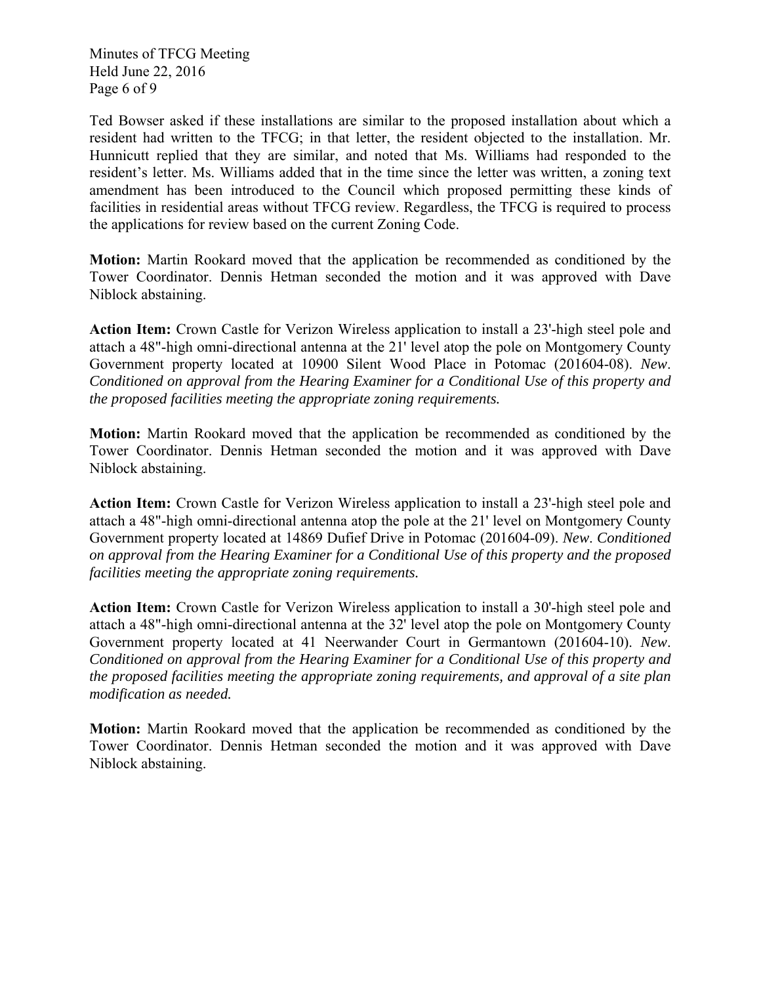Minutes of TFCG Meeting Held June 22, 2016 Page 6 of 9

Ted Bowser asked if these installations are similar to the proposed installation about which a resident had written to the TFCG; in that letter, the resident objected to the installation. Mr. Hunnicutt replied that they are similar, and noted that Ms. Williams had responded to the resident's letter. Ms. Williams added that in the time since the letter was written, a zoning text amendment has been introduced to the Council which proposed permitting these kinds of facilities in residential areas without TFCG review. Regardless, the TFCG is required to process the applications for review based on the current Zoning Code.

**Motion:** Martin Rookard moved that the application be recommended as conditioned by the Tower Coordinator. Dennis Hetman seconded the motion and it was approved with Dave Niblock abstaining.

**Action Item:** Crown Castle for Verizon Wireless application to install a 23'-high steel pole and attach a 48"-high omni-directional antenna at the 21' level atop the pole on Montgomery County Government property located at 10900 Silent Wood Place in Potomac (201604-08). *New*. *Conditioned on approval from the Hearing Examiner for a Conditional Use of this property and the proposed facilities meeting the appropriate zoning requirements.* 

**Motion:** Martin Rookard moved that the application be recommended as conditioned by the Tower Coordinator. Dennis Hetman seconded the motion and it was approved with Dave Niblock abstaining.

**Action Item:** Crown Castle for Verizon Wireless application to install a 23'-high steel pole and attach a 48"-high omni-directional antenna atop the pole at the 21' level on Montgomery County Government property located at 14869 Dufief Drive in Potomac (201604-09). *New*. *Conditioned on approval from the Hearing Examiner for a Conditional Use of this property and the proposed facilities meeting the appropriate zoning requirements.* 

**Action Item:** Crown Castle for Verizon Wireless application to install a 30'-high steel pole and attach a 48"-high omni-directional antenna at the 32' level atop the pole on Montgomery County Government property located at 41 Neerwander Court in Germantown (201604-10). *New*. *Conditioned on approval from the Hearing Examiner for a Conditional Use of this property and the proposed facilities meeting the appropriate zoning requirements, and approval of a site plan modification as needed.* 

**Motion:** Martin Rookard moved that the application be recommended as conditioned by the Tower Coordinator. Dennis Hetman seconded the motion and it was approved with Dave Niblock abstaining.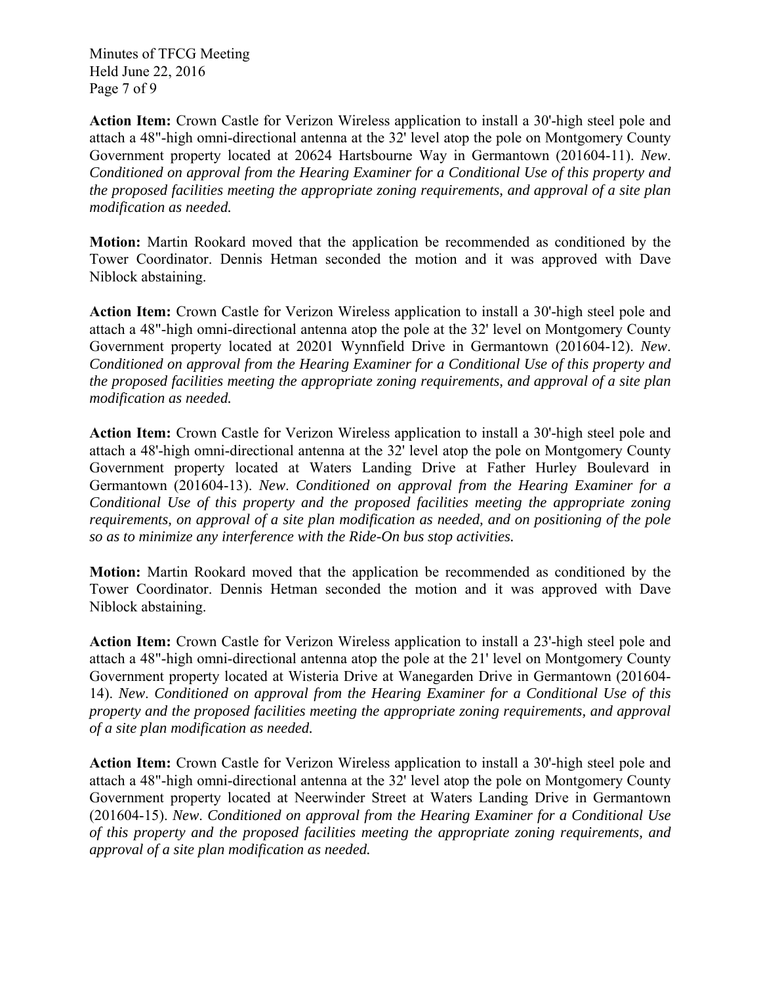Minutes of TFCG Meeting Held June 22, 2016 Page 7 of 9

**Action Item:** Crown Castle for Verizon Wireless application to install a 30'-high steel pole and attach a 48"-high omni-directional antenna at the 32' level atop the pole on Montgomery County Government property located at 20624 Hartsbourne Way in Germantown (201604-11). *New*. *Conditioned on approval from the Hearing Examiner for a Conditional Use of this property and the proposed facilities meeting the appropriate zoning requirements, and approval of a site plan modification as needed.* 

**Motion:** Martin Rookard moved that the application be recommended as conditioned by the Tower Coordinator. Dennis Hetman seconded the motion and it was approved with Dave Niblock abstaining.

**Action Item:** Crown Castle for Verizon Wireless application to install a 30'-high steel pole and attach a 48"-high omni-directional antenna atop the pole at the 32' level on Montgomery County Government property located at 20201 Wynnfield Drive in Germantown (201604-12). *New*. *Conditioned on approval from the Hearing Examiner for a Conditional Use of this property and the proposed facilities meeting the appropriate zoning requirements, and approval of a site plan modification as needed.* 

**Action Item:** Crown Castle for Verizon Wireless application to install a 30'-high steel pole and attach a 48'-high omni-directional antenna at the 32' level atop the pole on Montgomery County Government property located at Waters Landing Drive at Father Hurley Boulevard in Germantown (201604-13). *New*. *Conditioned on approval from the Hearing Examiner for a Conditional Use of this property and the proposed facilities meeting the appropriate zoning requirements, on approval of a site plan modification as needed, and on positioning of the pole so as to minimize any interference with the Ride-On bus stop activities.* 

**Motion:** Martin Rookard moved that the application be recommended as conditioned by the Tower Coordinator. Dennis Hetman seconded the motion and it was approved with Dave Niblock abstaining.

**Action Item:** Crown Castle for Verizon Wireless application to install a 23'-high steel pole and attach a 48"-high omni-directional antenna atop the pole at the 21' level on Montgomery County Government property located at Wisteria Drive at Wanegarden Drive in Germantown (201604- 14). *New*. *Conditioned on approval from the Hearing Examiner for a Conditional Use of this property and the proposed facilities meeting the appropriate zoning requirements, and approval of a site plan modification as needed.* 

**Action Item:** Crown Castle for Verizon Wireless application to install a 30'-high steel pole and attach a 48"-high omni-directional antenna at the 32' level atop the pole on Montgomery County Government property located at Neerwinder Street at Waters Landing Drive in Germantown (201604-15). *New*. *Conditioned on approval from the Hearing Examiner for a Conditional Use of this property and the proposed facilities meeting the appropriate zoning requirements, and approval of a site plan modification as needed.*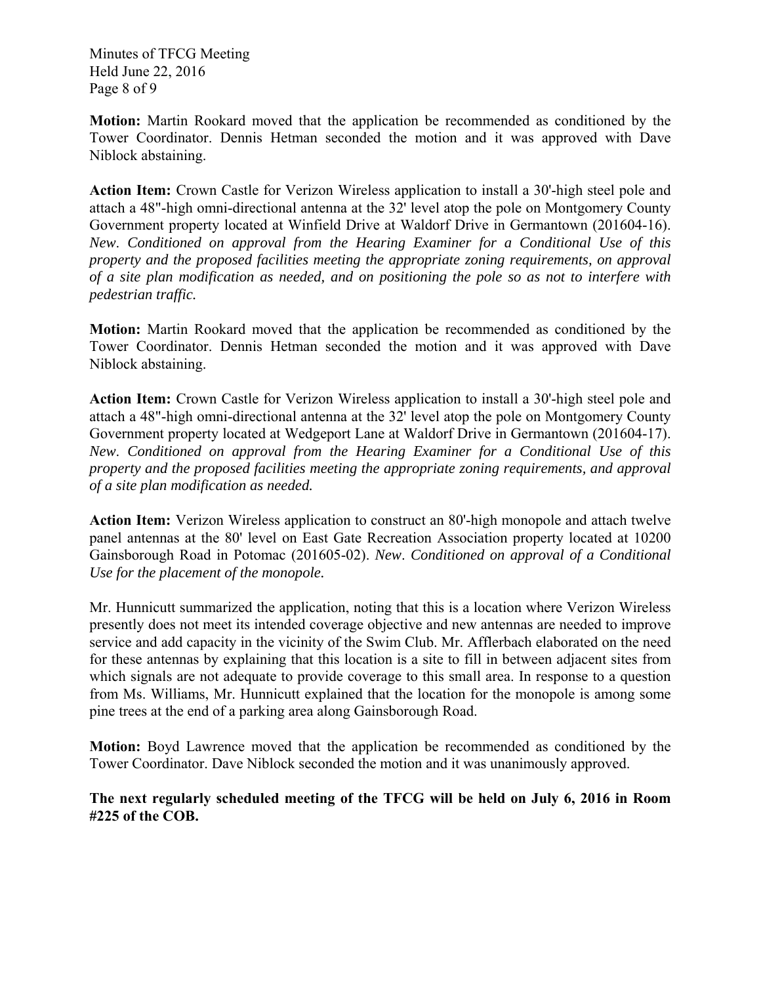Minutes of TFCG Meeting Held June 22, 2016 Page 8 of 9

**Motion:** Martin Rookard moved that the application be recommended as conditioned by the Tower Coordinator. Dennis Hetman seconded the motion and it was approved with Dave Niblock abstaining.

**Action Item:** Crown Castle for Verizon Wireless application to install a 30'-high steel pole and attach a 48"-high omni-directional antenna at the 32' level atop the pole on Montgomery County Government property located at Winfield Drive at Waldorf Drive in Germantown (201604-16). *New*. *Conditioned on approval from the Hearing Examiner for a Conditional Use of this property and the proposed facilities meeting the appropriate zoning requirements, on approval of a site plan modification as needed, and on positioning the pole so as not to interfere with pedestrian traffic.* 

**Motion:** Martin Rookard moved that the application be recommended as conditioned by the Tower Coordinator. Dennis Hetman seconded the motion and it was approved with Dave Niblock abstaining.

**Action Item:** Crown Castle for Verizon Wireless application to install a 30'-high steel pole and attach a 48"-high omni-directional antenna at the 32' level atop the pole on Montgomery County Government property located at Wedgeport Lane at Waldorf Drive in Germantown (201604-17). *New*. *Conditioned on approval from the Hearing Examiner for a Conditional Use of this property and the proposed facilities meeting the appropriate zoning requirements, and approval of a site plan modification as needed.* 

**Action Item:** Verizon Wireless application to construct an 80'-high monopole and attach twelve panel antennas at the 80' level on East Gate Recreation Association property located at 10200 Gainsborough Road in Potomac (201605-02). *New*. *Conditioned on approval of a Conditional Use for the placement of the monopole.* 

Mr. Hunnicutt summarized the application, noting that this is a location where Verizon Wireless presently does not meet its intended coverage objective and new antennas are needed to improve service and add capacity in the vicinity of the Swim Club. Mr. Afflerbach elaborated on the need for these antennas by explaining that this location is a site to fill in between adjacent sites from which signals are not adequate to provide coverage to this small area. In response to a question from Ms. Williams, Mr. Hunnicutt explained that the location for the monopole is among some pine trees at the end of a parking area along Gainsborough Road.

**Motion:** Boyd Lawrence moved that the application be recommended as conditioned by the Tower Coordinator. Dave Niblock seconded the motion and it was unanimously approved.

**The next regularly scheduled meeting of the TFCG will be held on July 6, 2016 in Room #225 of the COB.**